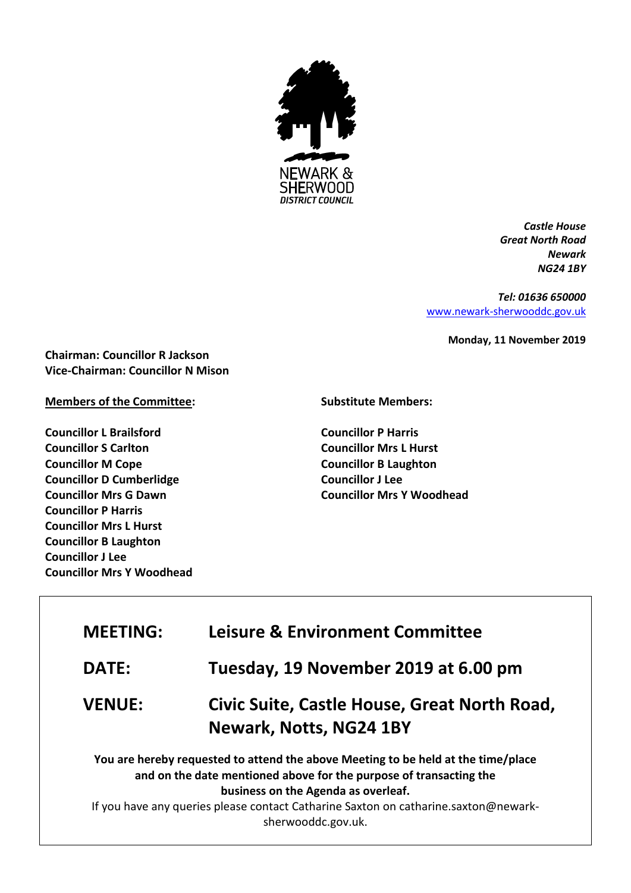

*Castle House Great North Road Newark NG24 1BY*

*Tel: 01636 650000* [www.newark-sherwooddc.gov.uk](http://www.newark-sherwooddc.gov.uk/)

**Monday, 11 November 2019**

**Chairman: Councillor R Jackson Vice-Chairman: Councillor N Mison**

## **Members of the Committee:**

**Councillor L Brailsford Councillor S Carlton Councillor M Cope Councillor D Cumberlidge Councillor Mrs G Dawn Councillor P Harris Councillor Mrs L Hurst Councillor B Laughton Councillor J Lee Councillor Mrs Y Woodhead**

## **Substitute Members:**

**Councillor P Harris Councillor Mrs L Hurst Councillor B Laughton Councillor J Lee Councillor Mrs Y Woodhead** 

| <b>MEETING:</b> | <b>Leisure &amp; Environment Committee</b>                                                                                                                                                                                                                                                                  |
|-----------------|-------------------------------------------------------------------------------------------------------------------------------------------------------------------------------------------------------------------------------------------------------------------------------------------------------------|
| <b>DATE:</b>    | Tuesday, 19 November 2019 at 6.00 pm                                                                                                                                                                                                                                                                        |
| <b>VENUE:</b>   | Civic Suite, Castle House, Great North Road,<br><b>Newark, Notts, NG24 1BY</b>                                                                                                                                                                                                                              |
|                 | You are hereby requested to attend the above Meeting to be held at the time/place<br>and on the date mentioned above for the purpose of transacting the<br>business on the Agenda as overleaf.<br>If you have any queries please contact Catharine Saxton on catharine.saxton@newark-<br>sherwooddc.gov.uk. |